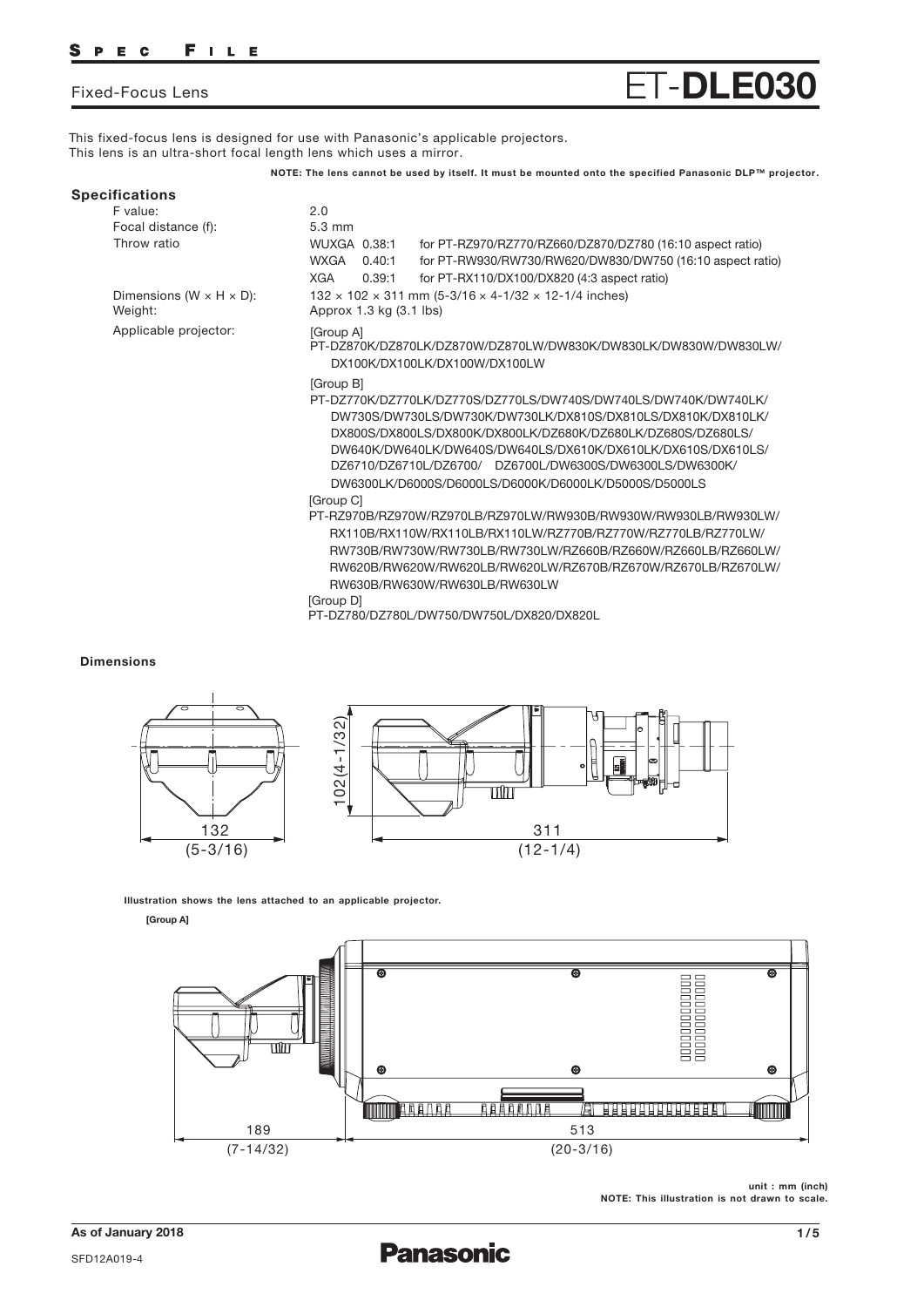Fixed-Focus Lens ET-**DLE030**

This fixed-focus lens is designed for use with Panasonic's applicable projectors. This lens is an ultra-short focal length lens which uses a mirror.

**NOTE: The lens cannot be used by itself. It must be mounted onto the specified Panasonic DLP™ projector.**

| <b>Specifications</b> |                       |                                                           |
|-----------------------|-----------------------|-----------------------------------------------------------|
| F value:              | 2.0                   |                                                           |
| Focal distance (f):   | $5.3 \text{ mm}$      |                                                           |
| Throw ratio           | WUXGA 0.38:1          | for PT-RZ970/RZ770/RZ660/DZ870/DZ780 (16:10 aspect ratio) |
|                       | <b>WXGA</b><br>0.40:1 | for PT-RW930/RW730/RW620/DW830/DW750 (16:10 aspect ratio) |

Dimensions ( $W \times H \times D$ ): Weight:

Applicable projector:

[Group A] PT-DZ870K/DZ870LK/DZ870W/DZ870LW/DW830K/DW830LK/DW830W/DW830LW/ DX100K/DX100LK/DX100W/DX100LW

[Group B]

Approx 1.3 kg (3.1 lbs)

- PT-DZ770K/DZ770LK/DZ770S/DZ770LS/DW740S/DW740LS/DW740K/DW740LK/ DW730S/DW730LS/DW730K/DW730LK/DX810S/DX810LS/DX810K/DX810LK/ DX800S/DX800LS/DX800K/DX800LK/DZ680K/DZ680LK/DZ680S/DZ680LS/ DW640K/DW640LK/DW640S/DW640LS/DX610K/DX610LK/DX610S/DX610LS/ DZ6710/DZ6710L/DZ6700/ DZ6700L/DW6300S/DW6300LS/DW6300K/ DW6300LK/D6000S/D6000LS/D6000K/D6000LK/D5000S/D5000LS [Group C]
- PT-RZ970B/RZ970W/RZ970LB/RZ970LW/RW930B/RW930W/RW930LB/RW930LW/ RX110B/RX110W/RX110LB/RX110LW/RZ770B/RZ770W/RZ770LB/RZ770LW/ RW730B/RW730W/RW730LB/RW730LW/RZ660B/RZ660W/RZ660LB/RZ660LW/ RW620B/RW620W/RW620LB/RW620LW/RZ670B/RZ670W/RZ670LB/RZ670LW/ RW630B/RW630W/RW630LB/RW630LW

[Group D]

PT-DZ780/DZ780L/DW750/DW750L/DX820/DX820L

132 × 102 × 311 mm (5-3/16 × 4-1/32 × 12-1/4 inches)

XGA 0.39:1 for PT-RX110/DX100/DX820 (4:3 aspect ratio)

## **Dimensions**



**Illustration shows the lens attached to an applicable projector.**

#### **[Group A]**



**unit : mm (inch) NOTE: This illustration is not drawn to scale.**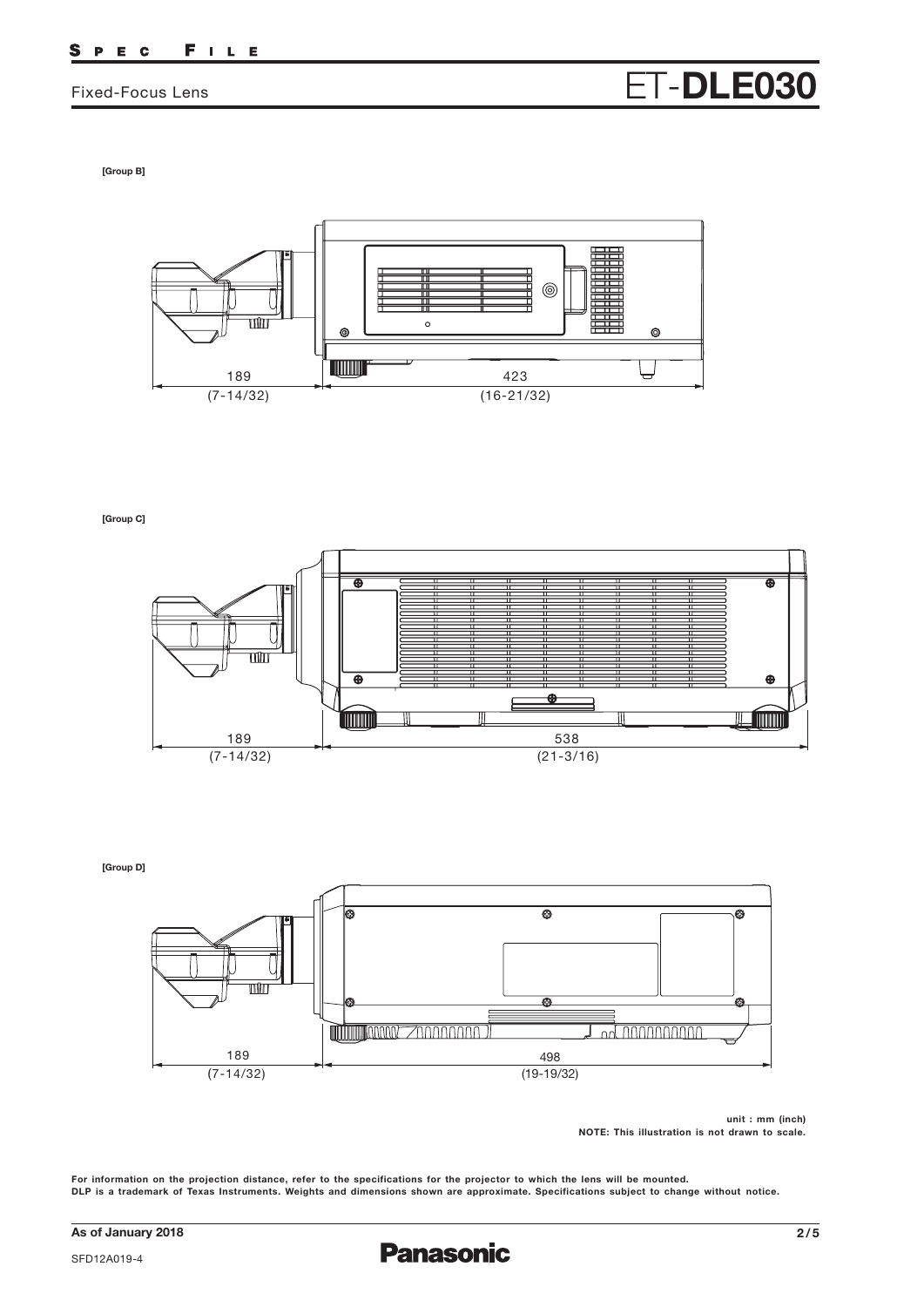# Fixed-Focus Lens **ET-DLE030**

**[Group B]**



**[Group C]**



**[Group D]**



**unit : mm (inch) NOTE: This illustration is not drawn to scale.**

For information on the projection distance, refer to the specifications for the projector to which the lens will be mounted. DLP is a trademark of Texas Instruments. Weights and dimensions shown are approximate. Specifications subject to change without notice.

SFD12A019-4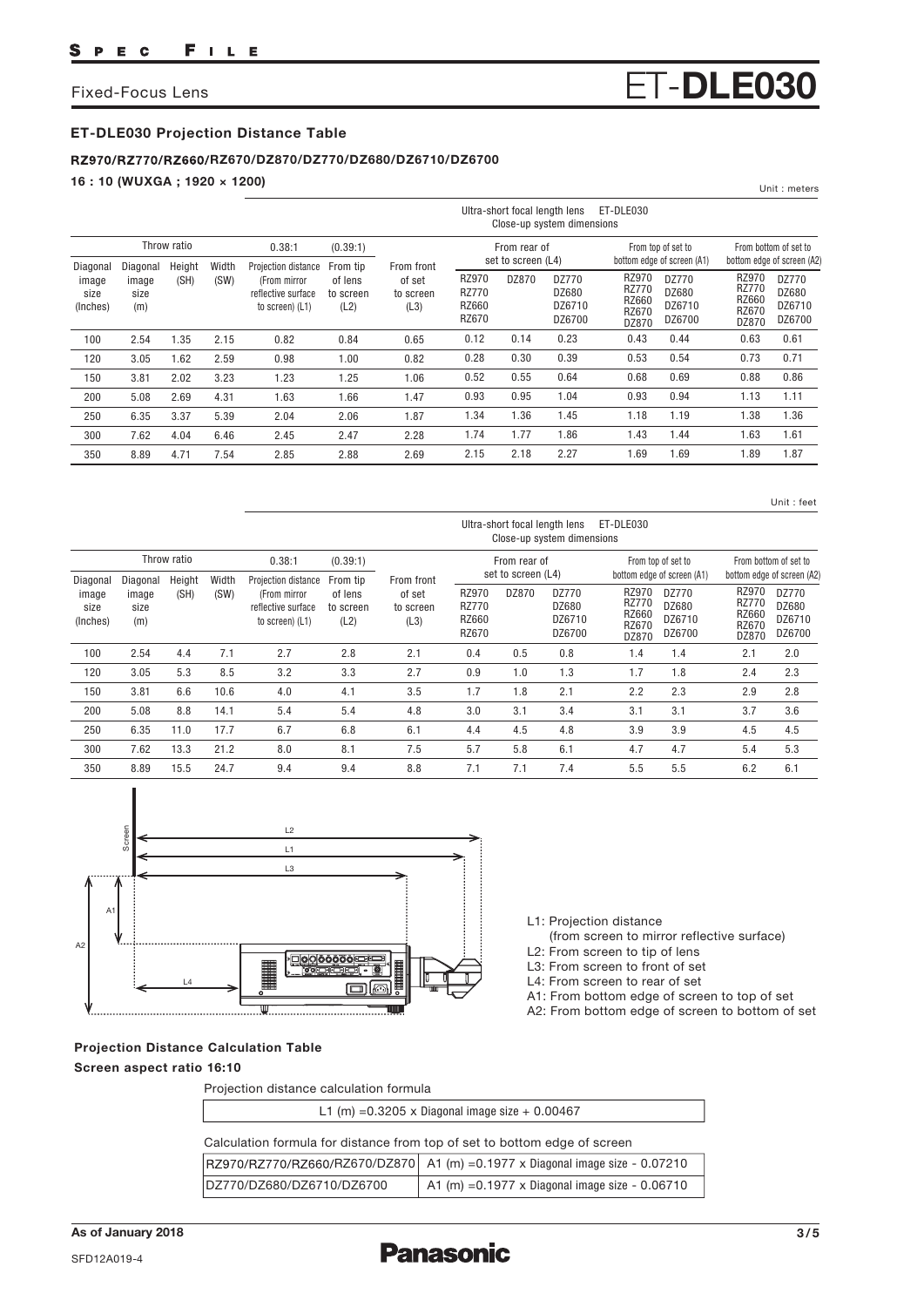## Fixed-Focus Lens **ET-DLE030**

## **ET-DLE030 Projection Distance Table**

### **RZ670/DZ870/DZ770/DZ680/DZ6710/DZ6700**

**16 : 10 (WUXGA ; 1920 × 1200)**

|                                       |                                  |                |               |                                                                              |                                          |                                           |                                         | Ultra-short focal length lens      | Close-up system dimensions         | ET-DLE030                                               |                                                  |                                                                |                                                     |
|---------------------------------------|----------------------------------|----------------|---------------|------------------------------------------------------------------------------|------------------------------------------|-------------------------------------------|-----------------------------------------|------------------------------------|------------------------------------|---------------------------------------------------------|--------------------------------------------------|----------------------------------------------------------------|-----------------------------------------------------|
|                                       |                                  | Throw ratio    |               | 0.38:1                                                                       | (0.39:1)                                 |                                           |                                         | From rear of<br>set to screen (L4) |                                    |                                                         | From top of set to<br>bottom edge of screen (A1) |                                                                | From bottom of set to<br>bottom edge of screen (A2) |
| Diagonal<br>image<br>size<br>(Inches) | Diagonal<br>image<br>size<br>(m) | Height<br>(SH) | Width<br>(SW) | Projection distance<br>(From mirror<br>reflective surface<br>to screen) (L1) | From tip<br>of lens<br>to screen<br>(L2) | From front<br>of set<br>to screen<br>(L3) | RZ970<br><b>RZ770</b><br>RZ660<br>RZ670 | DZ870                              | DZ770<br>DZ680<br>DZ6710<br>DZ6700 | RZ970<br><b>RZ770</b><br>RZ660<br><b>RZ670</b><br>DZ870 | DZ770<br>DZ680<br>DZ6710<br>DZ6700               | RZ970<br><b>RZ770</b><br><b>RZ660</b><br><b>RZ670</b><br>DZ870 | DZ770<br>DZ680<br>DZ6710<br>DZ6700                  |
| 100                                   | 2.54                             | 1.35           | 2.15          | 0.82                                                                         | 0.84                                     | 0.65                                      | 0.12                                    | 0.14                               | 0.23                               | 0.43                                                    | 0.44                                             | 0.63                                                           | 0.61                                                |
| 120                                   | 3.05                             | 1.62           | 2.59          | 0.98                                                                         | 1.00                                     | 0.82                                      | 0.28                                    | 0.30                               | 0.39                               | 0.53                                                    | 0.54                                             | 0.73                                                           | 0.71                                                |
| 150                                   | 3.81                             | 2.02           | 3.23          | 1.23                                                                         | 1.25                                     | 1.06                                      | 0.52                                    | 0.55                               | 0.64                               | 0.68                                                    | 0.69                                             | 0.88                                                           | 0.86                                                |
| 200                                   | 5.08                             | 2.69           | 4.31          | 1.63                                                                         | 1.66                                     | 1.47                                      | 0.93                                    | 0.95                               | 1.04                               | 0.93                                                    | 0.94                                             | 1.13                                                           | 1.11                                                |
| 250                                   | 6.35                             | 3.37           | 5.39          | 2.04                                                                         | 2.06                                     | 1.87                                      | 1.34                                    | 1.36                               | 1.45                               | 1.18                                                    | 1.19                                             | 1.38                                                           | 1.36                                                |
| 300                                   | 7.62                             | 4.04           | 6.46          | 2.45                                                                         | 2.47                                     | 2.28                                      | 1.74                                    | 1.77                               | 1.86                               | 1.43                                                    | 1.44                                             | 1.63                                                           | 1.61                                                |
| 350                                   | 8.89                             | 4.71           | 7.54          | 2.85                                                                         | 2.88                                     | 2.69                                      | 2.15                                    | 2.18                               | 2.27                               | 1.69                                                    | 1.69                                             | 1.89                                                           | 1.87                                                |

Unit : feet

Unit : meters

|                                       |                                  |                |               |                                                                              |                                          |                                           |                                         | Ultra-short focal length lens | Close-up system dimensions         | ET-DLE030                                               |                                                                  |                                                                |                                                                  |
|---------------------------------------|----------------------------------|----------------|---------------|------------------------------------------------------------------------------|------------------------------------------|-------------------------------------------|-----------------------------------------|-------------------------------|------------------------------------|---------------------------------------------------------|------------------------------------------------------------------|----------------------------------------------------------------|------------------------------------------------------------------|
|                                       |                                  | Throw ratio    |               | 0.38:1                                                                       | (0.39:1)                                 |                                           |                                         | From rear of                  |                                    |                                                         | From top of set to                                               |                                                                | From bottom of set to                                            |
| Diagonal<br>image<br>size<br>(Inches) | Diagonal<br>image<br>size<br>(m) | Height<br>(SH) | Width<br>(SW) | Projection distance<br>(From mirror<br>reflective surface<br>to screen) (L1) | From tip<br>of lens<br>to screen<br>(L2) | From front<br>of set<br>to screen<br>(L3) | RZ970<br><b>RZ770</b><br>RZ660<br>RZ670 | set to screen (L4)<br>DZ870   | DZ770<br>DZ680<br>DZ6710<br>DZ6700 | RZ970<br><b>RZ770</b><br><b>RZ660</b><br>RZ670<br>DZ870 | bottom edge of screen (A1)<br>DZ770<br>DZ680<br>DZ6710<br>DZ6700 | RZ970<br><b>RZ770</b><br><b>RZ660</b><br><b>RZ670</b><br>DZ870 | bottom edge of screen (A2)<br>DZ770<br>DZ680<br>DZ6710<br>DZ6700 |
| 100                                   | 2.54                             | 4.4            | 7.1           | 2.7                                                                          | 2.8                                      | 2.1                                       | 0.4                                     | 0.5                           | 0.8                                | 1.4                                                     | 1.4                                                              | 2.1                                                            | 2.0                                                              |
| 120                                   | 3.05                             | 5.3            | 8.5           | 3.2                                                                          | 3.3                                      | 2.7                                       | 0.9                                     | 1.0                           | 1.3                                | 1.7                                                     | 1.8                                                              | 2.4                                                            | 2.3                                                              |
| 150                                   | 3.81                             | 6.6            | 10.6          | 4.0                                                                          | 4.1                                      | 3.5                                       | 1.7                                     | 1.8                           | 2.1                                | 2.2                                                     | 2.3                                                              | 2.9                                                            | 2.8                                                              |
| 200                                   | 5.08                             | 8.8            | 14.1          | 5.4                                                                          | 5.4                                      | 4.8                                       | 3.0                                     | 3.1                           | 3.4                                | 3.1                                                     | 3.1                                                              | 3.7                                                            | 3.6                                                              |
| 250                                   | 6.35                             | 11.0           | 17.7          | 6.7                                                                          | 6.8                                      | 6.1                                       | 4.4                                     | 4.5                           | 4.8                                | 3.9                                                     | 3.9                                                              | 4.5                                                            | 4.5                                                              |
| 300                                   | 7.62                             | 13.3           | 21.2          | 8.0                                                                          | 8.1                                      | 7.5                                       | 5.7                                     | 5.8                           | 6.1                                | 4.7                                                     | 4.7                                                              | 5.4                                                            | 5.3                                                              |
| 350                                   | 8.89                             | 15.5           | 24.7          | 9.4                                                                          | 9.4                                      | 8.8                                       | 7.1                                     | 7.1                           | 7.4                                | 5.5                                                     | 5.5                                                              | 6.2                                                            | 6.1                                                              |



Projection distance calculation formula

**Projection Distance Calculation Table Screen aspect ratio 16:10**

|  | L3: From screen to front of set |  |  |
|--|---------------------------------|--|--|
|  | L4: From screen to rear of set  |  |  |

L1: Projection distance

L2: From screen to tip of lens

r of set A1: From bottom edge of screen to top of set

A2: From bottom edge of screen to bottom of set

(from screen to mirror reflective surface)

| L1 (m) = $0.3205 \times$ Diagonal image size + 0.00467                    |                                                                               |  |  |  |  |  |  |  |
|---------------------------------------------------------------------------|-------------------------------------------------------------------------------|--|--|--|--|--|--|--|
| Calculation formula for distance from top of set to bottom edge of screen |                                                                               |  |  |  |  |  |  |  |
|                                                                           | RZ970/RZ770/RZ660/RZ670/DZ870 A1 (m) = 0.1977 x Diagonal image size - 0.07210 |  |  |  |  |  |  |  |
| DZ770/DZ680/DZ6710/DZ6700                                                 | A1 (m) = $0.1977 \times$ Diagonal image size - $0.06710$                      |  |  |  |  |  |  |  |

**Panasonic**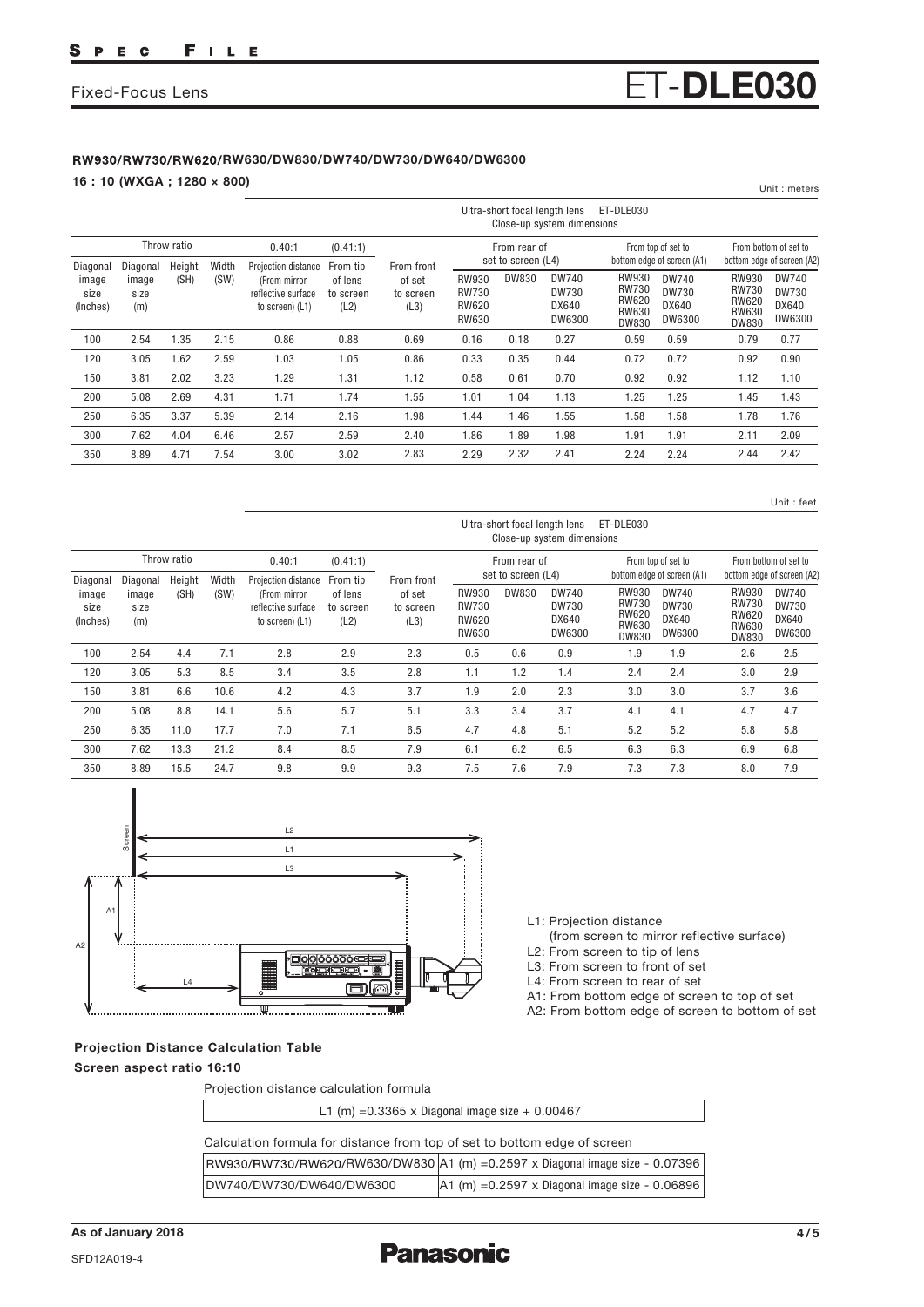#### FILE S P E C

# Fixed-Focus Lens **ET-DLE030**

## **RW630/DW830/DW740/DW730/DW640/DW6300**

**16 : 10 (WXGA ; 1280 × 800)**

|                           |                      |             |       |                                                       |                              |                             |                                                       | Ultra-short focal length lens      | Close-up system dimensions      | ET-DLE030                                                    |                                          |                                                       |                                            |
|---------------------------|----------------------|-------------|-------|-------------------------------------------------------|------------------------------|-----------------------------|-------------------------------------------------------|------------------------------------|---------------------------------|--------------------------------------------------------------|------------------------------------------|-------------------------------------------------------|--------------------------------------------|
|                           |                      | Throw ratio |       | 0.40:1                                                | (0.41:1)                     |                             |                                                       | From rear of                       |                                 |                                                              | From top of set to                       |                                                       | From bottom of set to                      |
| Diagonal                  | Diagonal             | Height      | Width | Projection distance                                   | From tip                     | From front                  |                                                       | set to screen (L4)<br><b>DW830</b> | <b>DW740</b>                    | RW930                                                        | bottom edge of screen (A1)               | <b>RW930</b>                                          | bottom edge of screen (A2)<br><b>DW740</b> |
| image<br>size<br>(Inches) | image<br>size<br>(m) | (SH)        | (SW)  | (From mirror<br>reflective surface<br>to screen) (L1) | of lens<br>to screen<br>(L2) | of set<br>to screen<br>(L3) | <b>RW930</b><br><b>RW730</b><br><b>RW620</b><br>RW630 |                                    | <b>DW730</b><br>DX640<br>DW6300 | <b>RW730</b><br><b>RW620</b><br><b>RW630</b><br><b>DW830</b> | <b>DW740</b><br>DW730<br>DX640<br>DW6300 | <b>RW730</b><br><b>RW620</b><br>RW630<br><b>DW830</b> | DW730<br>DX640<br>DW6300                   |
| 100                       | 2.54                 | 1.35        | 2.15  | 0.86                                                  | 0.88                         | 0.69                        | 0.16                                                  | 0.18                               | 0.27                            | 0.59                                                         | 0.59                                     | 0.79                                                  | 0.77                                       |
| 120                       | 3.05                 | 1.62        | 2.59  | 1.03                                                  | 1.05                         | 0.86                        | 0.33                                                  | 0.35                               | 0.44                            | 0.72                                                         | 0.72                                     | 0.92                                                  | 0.90                                       |
| 150                       | 3.81                 | 2.02        | 3.23  | 1.29                                                  | 1.31                         | 1.12                        | 0.58                                                  | 0.61                               | 0.70                            | 0.92                                                         | 0.92                                     | 1.12                                                  | 1.10                                       |
| 200                       | 5.08                 | 2.69        | 4.31  | 1.71                                                  | 1.74                         | 1.55                        | 1.01                                                  | 1.04                               | 1.13                            | 1.25                                                         | 1.25                                     | 1.45                                                  | 1.43                                       |
| 250                       | 6.35                 | 3.37        | 5.39  | 2.14                                                  | 2.16                         | 1.98                        | 1.44                                                  | 1.46                               | 1.55                            | 1.58                                                         | 1.58                                     | 1.78                                                  | 1.76                                       |
| 300                       | 7.62                 | 4.04        | 6.46  | 2.57                                                  | 2.59                         | 2.40                        | 1.86                                                  | 1.89                               | 1.98                            | 1.91                                                         | 1.91                                     | 2.11                                                  | 2.09                                       |
| 350                       | 8.89                 | 4.71        | 7.54  | 3.00                                                  | 3.02                         | 2.83                        | 2.29                                                  | 2.32                               | 2.41                            | 2.24                                                         | 2.24                                     | 2.44                                                  | 2.42                                       |
|                           |                      |             |       |                                                       |                              |                             |                                                       |                                    |                                 |                                                              |                                          |                                                       |                                            |

Unit : feet

Unit : meters

|                                       |                                  |                |               |                                                                              |                                          |                                           |                                                       | Ultra-short focal length lens | Close-up system dimensions               | ET-DLE030                                                             |                                                                        |                                                                              |                                                                               |
|---------------------------------------|----------------------------------|----------------|---------------|------------------------------------------------------------------------------|------------------------------------------|-------------------------------------------|-------------------------------------------------------|-------------------------------|------------------------------------------|-----------------------------------------------------------------------|------------------------------------------------------------------------|------------------------------------------------------------------------------|-------------------------------------------------------------------------------|
|                                       |                                  | Throw ratio    |               | 0.40:1                                                                       | (0.41:1)                                 |                                           |                                                       | From rear of                  |                                          |                                                                       | From top of set to                                                     |                                                                              | From bottom of set to                                                         |
| Diagonal<br>image<br>size<br>(Inches) | Diagonal<br>image<br>size<br>(m) | Height<br>(SH) | Width<br>(SW) | Projection distance<br>(From mirror<br>reflective surface<br>to screen) (L1) | From tip<br>of lens<br>to screen<br>(L2) | From front<br>of set<br>to screen<br>(L3) | RW930<br><b>RW730</b><br><b>RW620</b><br><b>RW630</b> | set to screen (L4)<br>DW830   | DW740<br><b>DW730</b><br>DX640<br>DW6300 | RW930<br><b>RW730</b><br><b>RW620</b><br><b>RW630</b><br><b>DW830</b> | bottom edge of screen (A1)<br><b>DW740</b><br>DW730<br>DX640<br>DW6300 | <b>RW930</b><br><b>RW730</b><br><b>RW620</b><br><b>RW630</b><br><b>DW830</b> | bottom edge of screen (A2)<br><b>DW740</b><br><b>DW730</b><br>DX640<br>DW6300 |
| 100                                   | 2.54                             | 4.4            | 7.1           | 2.8                                                                          | 2.9                                      | 2.3                                       | 0.5                                                   | 0.6                           | 0.9                                      | 1.9                                                                   | 1.9                                                                    | 2.6                                                                          | 2.5                                                                           |
| 120                                   | 3.05                             | 5.3            | 8.5           | 3.4                                                                          | 3.5                                      | 2.8                                       | 1.1                                                   | 1.2                           | 1.4                                      | 2.4                                                                   | 2.4                                                                    | 3.0                                                                          | 2.9                                                                           |
| 150                                   | 3.81                             | 6.6            | 10.6          | 4.2                                                                          | 4.3                                      | 3.7                                       | 1.9                                                   | 2.0                           | 2.3                                      | 3.0                                                                   | 3.0                                                                    | 3.7                                                                          | 3.6                                                                           |
| 200                                   | 5.08                             | 8.8            | 14.1          | 5.6                                                                          | 5.7                                      | 5.1                                       | 3.3                                                   | 3.4                           | 3.7                                      | 4.1                                                                   | 4.1                                                                    | 4.7                                                                          | 4.7                                                                           |
| 250                                   | 6.35                             | 11.0           | 17.7          | 7.0                                                                          | 7.1                                      | 6.5                                       | 4.7                                                   | 4.8                           | 5.1                                      | 5.2                                                                   | 5.2                                                                    | 5.8                                                                          | 5.8                                                                           |
| 300                                   | 7.62                             | 13.3           | 21.2          | 8.4                                                                          | 8.5                                      | 7.9                                       | 6.1                                                   | 6.2                           | 6.5                                      | 6.3                                                                   | 6.3                                                                    | 6.9                                                                          | 6.8                                                                           |
| 350                                   | 8.89                             | 15.5           | 24.7          | 9.8                                                                          | 9.9                                      | 9.3                                       | 7.5                                                   | 7.6                           | 7.9                                      | 7.3                                                                   | 7.3                                                                    | 8.0                                                                          | 7.9                                                                           |



**Projection Distance Calculation Table Screen aspect ratio 16:10**

| L1: Projection distance |  |
|-------------------------|--|
| (from screen to mirr    |  |

- ror reflective surface) L2: From screen to tip of lens
- L3: From screen to front of set
- L4: From screen to rear of set
- A1: From bottom edge of screen to top of set
- A2: From bottom edge of screen to bottom of set

| Projection distance calculation formula                                   |                                                                              |  |  |  |  |  |  |  |  |
|---------------------------------------------------------------------------|------------------------------------------------------------------------------|--|--|--|--|--|--|--|--|
| L1 (m) = $0.3365$ x Diagonal image size + 0.00467                         |                                                                              |  |  |  |  |  |  |  |  |
| Calculation formula for distance from top of set to bottom edge of screen |                                                                              |  |  |  |  |  |  |  |  |
|                                                                           | RW930/RW730/RW620/RW630/DW830 A1 (m) =0.2597 x Diagonal image size - 0.07396 |  |  |  |  |  |  |  |  |
| DW740/DW730/DW640/DW6300                                                  | $ A1 (m) = 0.2597 \times$ Diagonal image size - 0.06896                      |  |  |  |  |  |  |  |  |

**Panasonic**